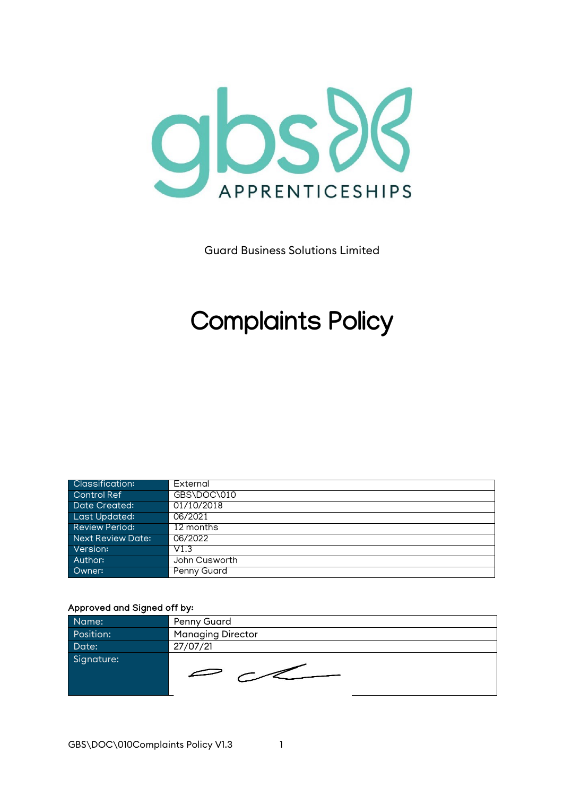

Guard Business Solutions Limited

# **Complaints Policy**

| <b>Classification:</b> | External      |
|------------------------|---------------|
| Control Ref            | GBS\DOC\010   |
| Date Created:          | 01/10/2018    |
| Last Updated:          | 06/2021       |
| <b>Review Period:</b>  | 12 months     |
| Next Review Date:      | 06/2022       |
| Version:               | V1.3          |
| Author:                | John Cusworth |
| Owner:                 | Penny Guard   |

#### Approved and Signed off by:

| Name:      | Penny Guard              |
|------------|--------------------------|
| Position:  | <b>Managing Director</b> |
| Date:      | 27/07/21                 |
| Signature: | $\epsilon$               |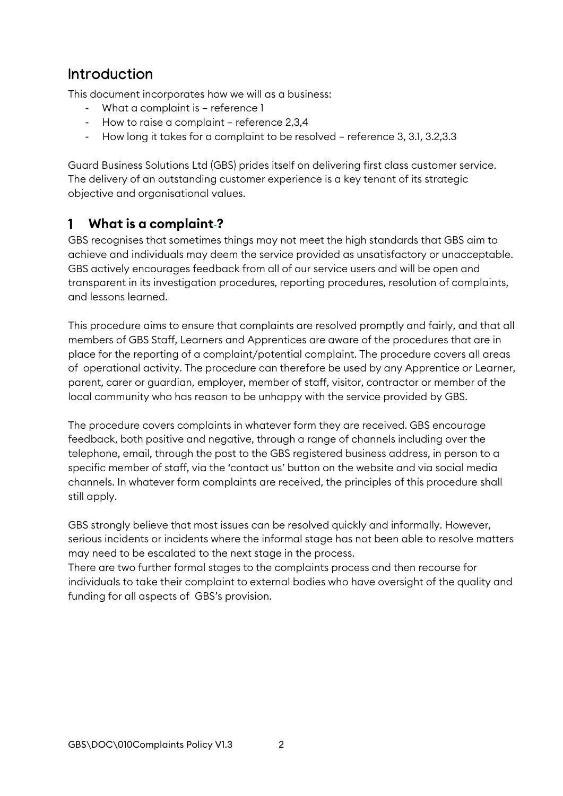## **Introduction**

This document incorporates how we will as a business:

- What a complaint is reference 1
- How to raise a complaint reference 2,3,4
- How long it takes for a complaint to be resolved reference 3, 3.1, 3.2,3.3

Guard Business Solutions Ltd (GBS) prides itself on delivering first class customer service. The delivery of an outstanding customer experience is a key tenant of its strategic objective and organisational values.

#### **What is a complaint ?**  $\mathbf{1}$

GBS recognises that sometimes things may not meet the high standards that GBS aim to achieve and individuals may deem the service provided as unsatisfactory or unacceptable. GBS actively encourages feedback from all of our service users and will be open and transparent in its investigation procedures, reporting procedures, resolution of complaints, and lessons learned.

This procedure aims to ensure that complaints are resolved promptly and fairly, and that all members of GBS Staff, Learners and Apprentices are aware of the procedures that are in place for the reporting of a complaint/potential complaint. The procedure covers all areas of operational activity. The procedure can therefore be used by any Apprentice or Learner, parent, carer or guardian, employer, member of staff, visitor, contractor or member of the local community who has reason to be unhappy with the service provided by GBS.

The procedure covers complaints in whatever form they are received. GBS encourage feedback, both positive and negative, through a range of channels including over the telephone, email, through the post to the GBS registered business address, in person to a specific member of staff, via the 'contact us' button on the website and via social media channels. In whatever form complaints are received, the principles of this procedure shall still apply.

GBS strongly believe that most issues can be resolved quickly and informally. However, serious incidents or incidents where the informal stage has not been able to resolve matters may need to be escalated to the next stage in the process.

There are two further formal stages to the complaints process and then recourse for individuals to take their complaint to external bodies who have oversight of the quality and funding for all aspects of GBS's provision.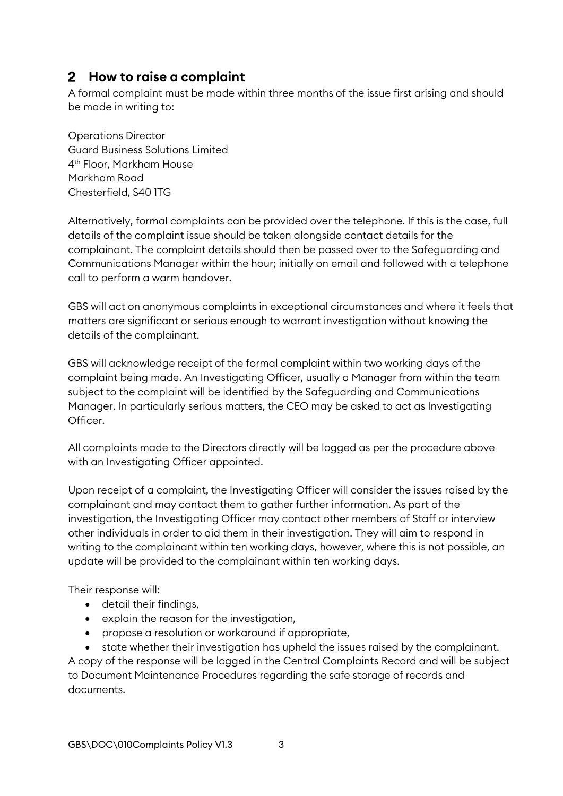#### **How to raise a complaint**

A formal complaint must be made within three months of the issue first arising and should be made in writing to:

Operations Director Guard Business Solutions Limited 4th Floor, Markham House Markham Road Chesterfield, S40 1TG

Alternatively, formal complaints can be provided over the telephone. If this is the case, full details of the complaint issue should be taken alongside contact details for the complainant. The complaint details should then be passed over to the Safeguarding and Communications Manager within the hour; initially on email and followed with a telephone call to perform a warm handover.

GBS will act on anonymous complaints in exceptional circumstances and where it feels that matters are significant or serious enough to warrant investigation without knowing the details of the complainant.

GBS will acknowledge receipt of the formal complaint within two working days of the complaint being made. An Investigating Officer, usually a Manager from within the team subject to the complaint will be identified by the Safeguarding and Communications Manager. In particularly serious matters, the CEO may be asked to act as Investigating Officer.

All complaints made to the Directors directly will be logged as per the procedure above with an Investigating Officer appointed.

Upon receipt of a complaint, the Investigating Officer will consider the issues raised by the complainant and may contact them to gather further information. As part of the investigation, the Investigating Officer may contact other members of Staff or interview other individuals in order to aid them in their investigation. They will aim to respond in writing to the complainant within ten working days, however, where this is not possible, an update will be provided to the complainant within ten working days.

Their response will:

- detail their findings,
- explain the reason for the investigation,
- propose a resolution or workaround if appropriate,

• state whether their investigation has upheld the issues raised by the complainant. A copy of the response will be logged in the Central Complaints Record and will be subject to Document Maintenance Procedures regarding the safe storage of records and documents.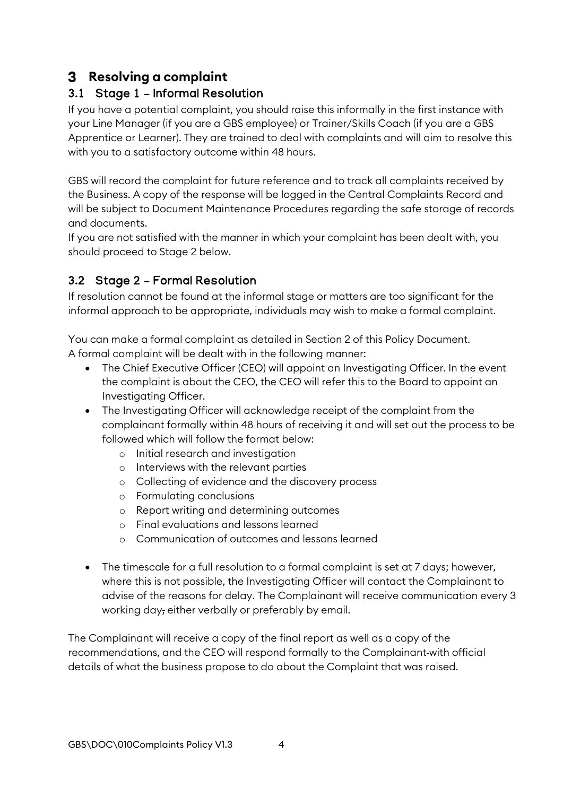### **Resolving a complaint**

#### 3.1 Stage 1 – Informal Resolution

If you have a potential complaint, you should raise this informally in the first instance with your Line Manager (if you are a GBS employee) or Trainer/Skills Coach (if you are a GBS Apprentice or Learner). They are trained to deal with complaints and will aim to resolve this with you to a satisfactory outcome within 48 hours.

GBS will record the complaint for future reference and to track all complaints received by the Business. A copy of the response will be logged in the Central Complaints Record and will be subject to Document Maintenance Procedures regarding the safe storage of records and documents.

If you are not satisfied with the manner in which your complaint has been dealt with, you should proceed to Stage 2 below.

#### 3.2 Stage 2 – Formal Resolution

If resolution cannot be found at the informal stage or matters are too significant for the informal approach to be appropriate, individuals may wish to make a formal complaint.

You can make a formal complaint as detailed in Section 2 of this Policy Document. A formal complaint will be dealt with in the following manner:

- The Chief Executive Officer (CEO) will appoint an Investigating Officer. In the event the complaint is about the CEO, the CEO will refer this to the Board to appoint an Investigating Officer.
- The Investigating Officer will acknowledge receipt of the complaint from the complainant formally within 48 hours of receiving it and will set out the process to be followed which will follow the format below:
	- o Initial research and investigation
	- o Interviews with the relevant parties
	- o Collecting of evidence and the discovery process
	- o Formulating conclusions
	- o Report writing and determining outcomes
	- o Final evaluations and lessons learned
	- o Communication of outcomes and lessons learned
- The timescale for a full resolution to a formal complaint is set at 7 days; however, where this is not possible, the Investigating Officer will contact the Complainant to advise of the reasons for delay. The Complainant will receive communication every 3 working day, either verbally or preferably by email.

The Complainant will receive a copy of the final report as well as a copy of the recommendations, and the CEO will respond formally to the Complainant with official details of what the business propose to do about the Complaint that was raised.